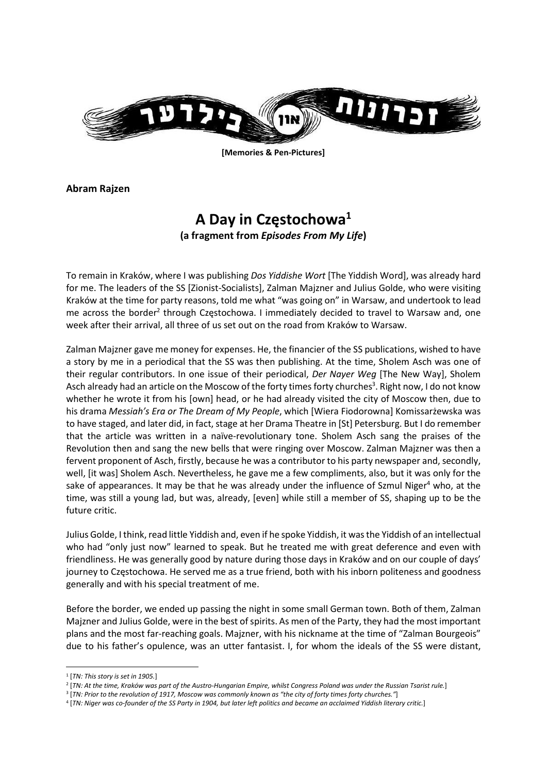

[Memories & Pen-Pictures]

Abram Rajzen

## A Day in Częstochowa<sup>1</sup> (a fragment from Episodes From My Life)

To remain in Kraków, where I was publishing Dos Yiddishe Wort [The Yiddish Word], was already hard for me. The leaders of the SS [Zionist-Socialists], Zalman Majzner and Julius Golde, who were visiting Kraków at the time for party reasons, told me what "was going on" in Warsaw, and undertook to lead me across the border<sup>2</sup> through Częstochowa. I immediately decided to travel to Warsaw and, one week after their arrival, all three of us set out on the road from Kraków to Warsaw.

Zalman Majzner gave me money for expenses. He, the financier of the SS publications, wished to have a story by me in a periodical that the SS was then publishing. At the time, Sholem Asch was one of their regular contributors. In one issue of their periodical, Der Nayer Weg [The New Way], Sholem Asch already had an article on the Moscow of the forty times forty churches<sup>3</sup>. Right now, I do not know whether he wrote it from his [own] head, or he had already visited the city of Moscow then, due to his drama Messiah's Era or The Dream of My People, which [Wiera Fiodorowna] Komissarżewska was to have staged, and later did, in fact, stage at her Drama Theatre in [St] Petersburg. But I do remember that the article was written in a naïve-revolutionary tone. Sholem Asch sang the praises of the Revolution then and sang the new bells that were ringing over Moscow. Zalman Majzner was then a fervent proponent of Asch, firstly, because he was a contributor to his party newspaper and, secondly, well, [it was] Sholem Asch. Nevertheless, he gave me a few compliments, also, but it was only for the sake of appearances. It may be that he was already under the influence of Szmul Niger<sup>4</sup> who, at the time, was still a young lad, but was, already, [even] while still a member of SS, shaping up to be the future critic.

Julius Golde, I think, read little Yiddish and, even if he spoke Yiddish, it was the Yiddish of an intellectual who had "only just now" learned to speak. But he treated me with great deference and even with friendliness. He was generally good by nature during those days in Kraków and on our couple of days' journey to Częstochowa. He served me as a true friend, both with his inborn politeness and goodness generally and with his special treatment of me.

Before the border, we ended up passing the night in some small German town. Both of them, Zalman Majzner and Julius Golde, were in the best of spirits. As men of the Party, they had the most important plans and the most far-reaching goals. Majzner, with his nickname at the time of "Zalman Bourgeois" due to his father's opulence, was an utter fantasist. I, for whom the ideals of the SS were distant,

 $<sup>1</sup>$  [TN: This story is set in 1905.]</sup>

<sup>2</sup> [TN: At the time, Kraków was part of the Austro-Hungarian Empire, whilst Congress Poland was under the Russian Tsarist rule.]

<sup>3</sup> [TN: Prior to the revolution of 1917, Moscow was commonly known as "the city of forty times forty churches."]

<sup>4</sup> [TN: Niger was co-founder of the SS Party in 1904, but later left politics and became an acclaimed Yiddish literary critic.]